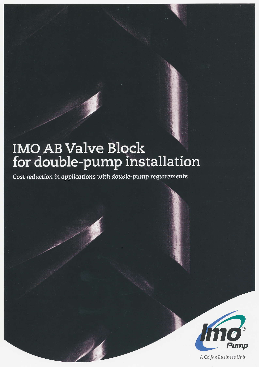# **IMO AB Valve Block** for double-pump installation

Cost reduction in applications with double-pump requirements



A Colfax Business Unit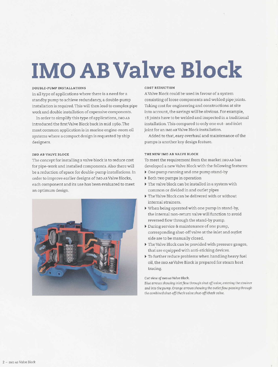# **IMO AB Valve Block**

### **DOUBLE-PUMP INSTALLATIONS**

In all type of applications where there is a need for a standby pump to achieve redundancy, a double-pump installation is required. This will then lead to complex pipe work and double installation of expensive components.

In order to simplify this type of applications, IMO AB introduced the first Valve Block back in mid 1960. The most common application is in marine engine-room oil systems where a compact design is requested by ship designers.

### IMO AB VALVE BLOCK

The concept for installing a valve block is to reduce cost for pipe-work and installed components. Also there will be a reduction of space for double-pump installations. In order to improve earlier designs of IMO AB Valve Blocks, each component and its use has been evaluated to meet an optimum design.



# COST PEDIICTION

A Valve Block could be used in favour of a system consisting of loose components and welded pipe joints. Taking cost for engineering and constructions at site into account, the savings will be obvious. For example, 18 joints have to be welded and inspected in a traditional installation. This compared to only one out- and inlet joint for an IMO AB Valve Block installation.

Added to that, easy overhaul and maintenance of the pumps is another key design feature.

## THE NEW IMO AB VALVE BLOCK

To meet the requirement from the market IMO AB has developed a new Valve Block with the following features:

- One pump running and one pump stand-by
- Both two pumps in operation
- The valve block can be installed in a system with common or divided in and outlet pipes
- The Valve Block can be delivered with or without internal strainers.
- $\blacktriangleright$  When being operated with one pump in stand-by, the internal non-return valve will function to avoid reversed flow through the stand-by pump.
- During service & maintenance of one pump, corresponding shut-off valve at the inlet and outlet side are to be manually closed.
- The Valve Block can be provided with pressure gauges, that are equipped with anti-sticking devices.
- To further reduce problems when handling heavy fuel oil, the IMO AB Valve Block is prepared for steam heat tracing.

## Cut view of IMO AB Valve Block.

Blue arrows showing inlet flow through shut off valve, entering the strainer and into the pump. Orange arrows showing the outlet flow passing through the combined shut-off/check valve.shut-off/check valve.